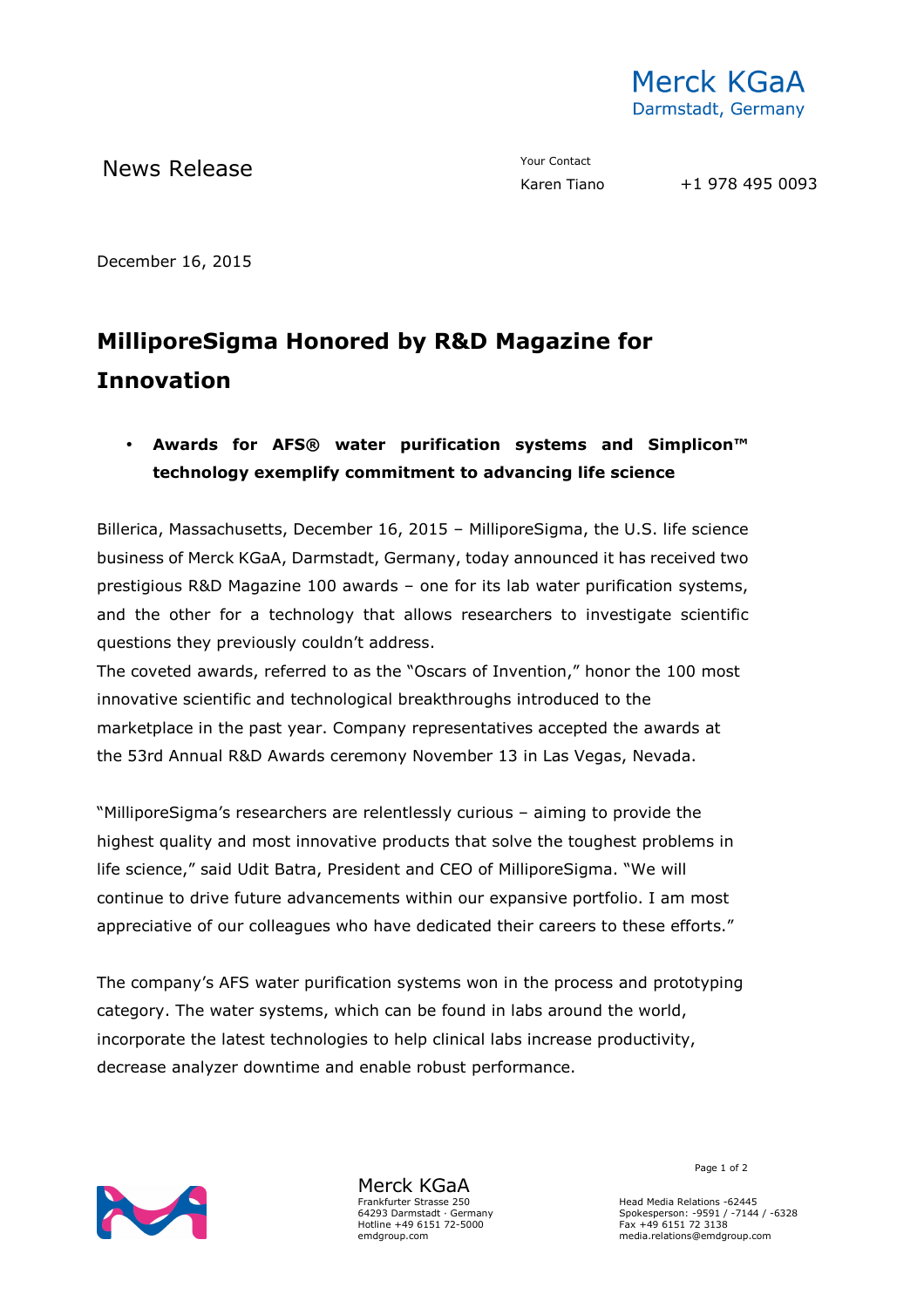

News Release The Contact Your Contact Tiano

December 16, 2015

## **MilliporeSigma Honored by R&D Magazine for Innovation**

## • **Awards for AFS® water purification systems and Simplicon™ technology exemplify commitment to advancing life science**

Billerica, Massachusetts, December 16, 2015 – MilliporeSigma, the U.S. life science business of Merck KGaA, Darmstadt, Germany, today announced it has received two prestigious R&D Magazine 100 awards – one for its lab water purification systems, and the other for a technology that allows researchers to investigate scientific questions they previously couldn't address.

The coveted awards, referred to as the "Oscars of Invention," honor the 100 most innovative scientific and technological breakthroughs introduced to the marketplace in the past year. Company representatives accepted the awards at the 53rd Annual R&D Awards ceremony November 13 in Las Vegas, Nevada.

"MilliporeSigma's researchers are relentlessly curious – aiming to provide the highest quality and most innovative products that solve the toughest problems in life science," said Udit Batra, President and CEO of MilliporeSigma. "We will continue to drive future advancements within our expansive portfolio. I am most appreciative of our colleagues who have dedicated their careers to these efforts."

The company's AFS water purification systems won in the process and prototyping category. The water systems, which can be found in labs around the world, incorporate the latest technologies to help clinical labs increase productivity, decrease analyzer downtime and enable robust performance.



Merck KGaA Frankfurter Strasse 250 64293 Darmstadt · Germany Hotline +49 6151 72-5000 emdgroup.com

Page 1 of 2

Head Media Relations -62445 Spokesperson: -9591 / -7144 / -6328 Fax +49 6151 72 3138 media.relations@emdgroup.com